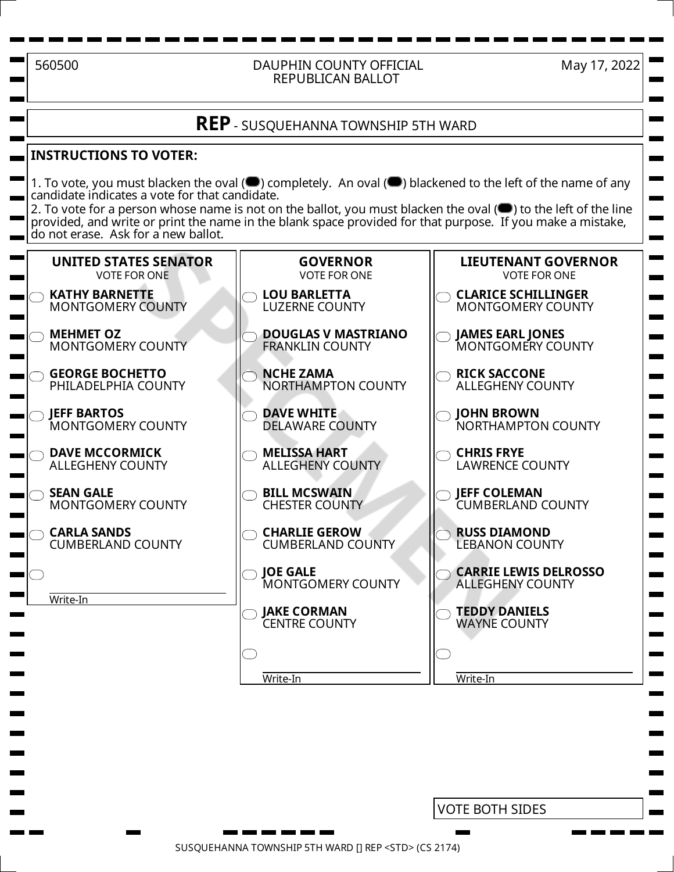## 560500 DAUPHIN COUNTY OFFICIAL REPUBLICAN BALLOT

May 17, 2022

## **REP**- SUSQUEHANNA TOWNSHIP 5TH WARD

## **INSTRUCTIONS TO VOTER:**

1. To vote, you must blacken the oval ( $\blacksquare$ ) completely. An oval ( $\blacksquare$ ) blackened to the left of the name of any candidate indicates a vote for that candidate.

2. To vote for a person whose name is not on the ballot, you must blacken the oval ( $\blacksquare$ ) to the left of the line provided, and write or print the name in the blank space provided for that purpose. If you make a mistake, do not erase. Ask for a new ballot.



VOTE BOTH SIDES